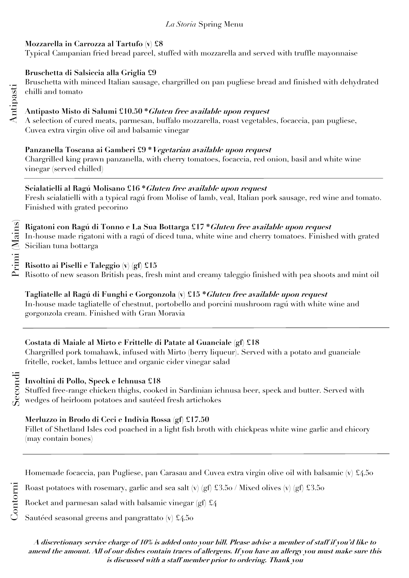### *La Storia* Spring Menu

### **Mozzarella in Carrozza al Tartufo (v) £8**

Typical Campanian fried bread parcel, stuffed with mozzarella and served with truffle mayonnaise

### **Bruschetta di Salsiccia alla Griglia £9**

Bruschetta with minced Italian sausage, chargrilled on pan pugliese bread and finished with dehydrated chilli and tomato

### **Antipasto Misto di Salumi £10.50 \*Gluten free available upon request**

A selection of cured meats, parmesan, buffalo mozzarella, roast vegetables, focaccia, pan pugliese, Cuvea extra virgin olive oil and balsamic vinegar

## **Panzanella Toscana ai Gamberi £9 \*Vegetarian available upon request**

Chargrilled king prawn panzanella, with cherry tomatoes, focaccia, red onion, basil and white wine vinegar (served chilled)

## **Scialatielli al Ragú Molisano £16 \*Gluten free available upon request**

Fresh scialatielli with a typical ragú from Molise of lamb, veal, Italian pork sausage, red wine and tomato. Finished with grated pecorino

### **Rigatoni con Ragú di Tonno e La Sua Bottarga £17 \*Gluten free available upon request** In-house made rigatoni with a ragú of diced tuna, white wine and cherry tomatoes. Finished with grated Sicilian tuna bottarga

**Risotto ai Piselli e Taleggio (v) (gf) £15**

Risotto of new season British peas, fresh mint and creamy taleggio finished with pea shoots and mint oil

# **Tagliatelle al Ragú di Funghi e Gorgonzola (v) £15 \*Gluten free available upon request**

In-house made tagliatelle of chestnut, portobello and porcini mushroom ragú with white wine and gorgonzola cream. Finished with Gran Moravia

# **Costata di Maiale al Mirto e Frittelle di Patate al Guanciale (gf) £18**

Chargrilled pork tomahawk, infused with Mirto (berry liqueur). Served with a potato and guanciale fritelle, rocket, lambs lettuce and organic cider vinegar salad

# Secondi

Contorni

## **Involtini di Pollo, Speck e Ichnusa £18**

Stuffed free-range chicken thighs, cooked in Sardinian ichnusa beer, speck and butter. Served with wedges of heirloom potatoes and sautéed fresh artichokes

## **Merluzzo in Brodo di Ceci e Indivia Rossa (gf) £17.50**

Fillet of Shetland Isles cod poached in a light fish broth with chickpeas white wine garlic and chicory (may contain bones)

Homemade focaccia, pan Pugliese, pan Carasau and Cuvea extra virgin olive oil with balsamic (v) £4.50

Roast potatoes with rosemary, garlic and sea salt (v) (gf)  $\text{\textsterling}3.50$  / Mixed olives (v) (gf)  $\text{\textsterling}3.50$ 

Rocket and parmesan salad with balsamic vinegar (gf)  $\pounds$ 4

Sautéed seasonal greens and pangrattato  $(v)$  £4.50

**A discretionary service charge of 10% is added onto your bill. Please advise a member of staff if you'd like to amend the amount. All of our dishes contain traces of allergens. If you have an allergy you must make sure this is discussed with a staff member prior to ordering. Thank you**

Antipasti